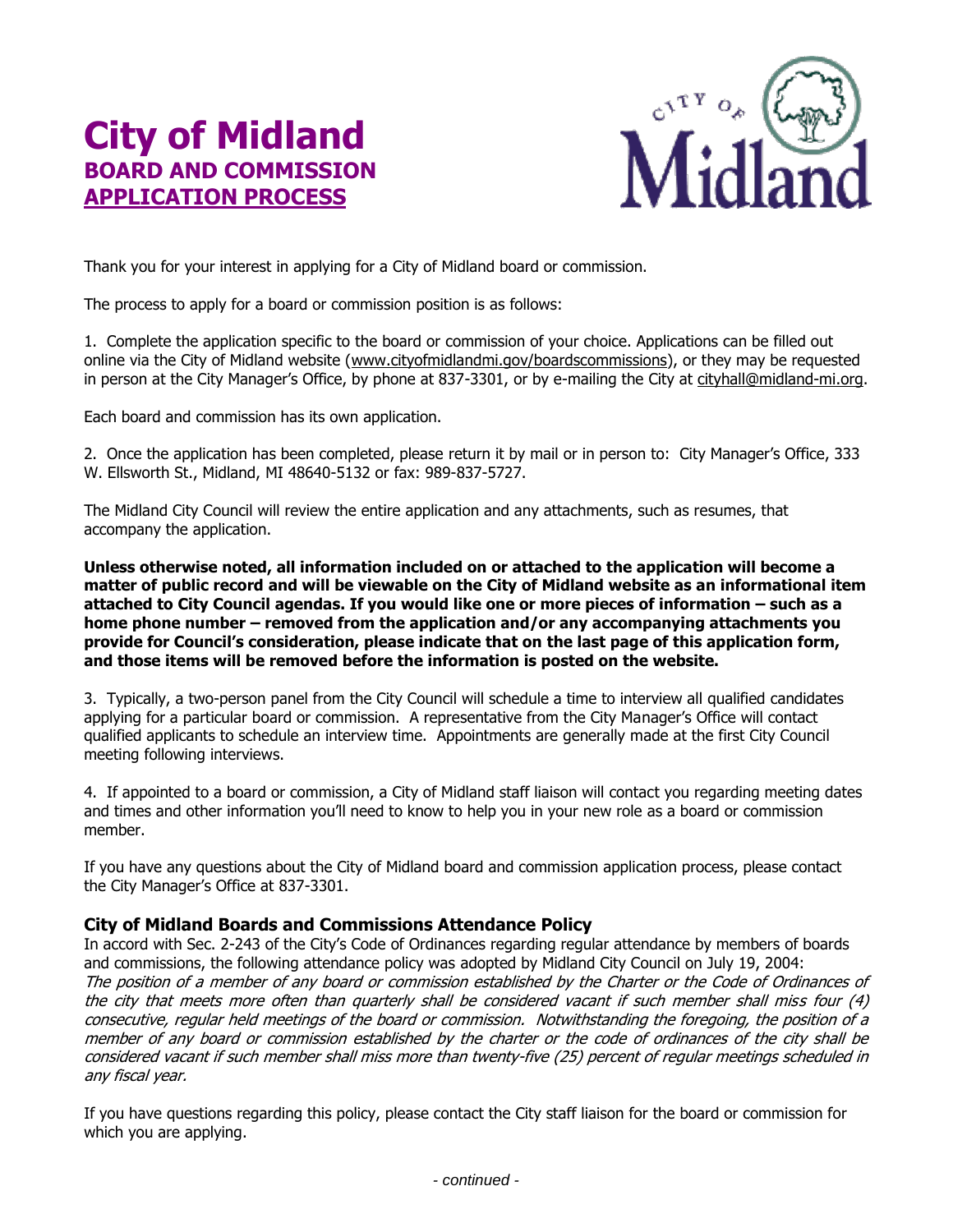## **City of Midland BOARD AND COMMISSION APPLICATION PROCESS**



Thank you for your interest in applying for a City of Midland board or commission.

The process to apply for a board or commission position is as follows:

1. Complete the application specific to the board or commission of your choice. Applications can be filled out online via the City of Midland website [\(www.cityofmidlandmi.gov/boardscommissions\)](http://www.cityofmidlandmi.gov/boardscommissions), or they may be requested in person at the City Manager's Office, by phone at 837-3301, or by e-mailing the City at [cityhall@midland-mi.org.](mailto:cityhall@midland-mi.org)

Each board and commission has its own application.

2. Once the application has been completed, please return it by mail or in person to: City Manager's Office, 333 W. Ellsworth St., Midland, MI 48640-5132 or fax: 989-837-5727.

The Midland City Council will review the entire application and any attachments, such as resumes, that accompany the application.

**Unless otherwise noted, all information included on or attached to the application will become a matter of public record and will be viewable on the City of Midland website as an informational item attached to City Council agendas. If you would like one or more pieces of information – such as a home phone number – removed from the application and/or any accompanying attachments you provide for Council's consideration, please indicate that on the last page of this application form, and those items will be removed before the information is posted on the website.**

3. Typically, a two-person panel from the City Council will schedule a time to interview all qualified candidates applying for a particular board or commission. A representative from the City Manager's Office will contact qualified applicants to schedule an interview time. Appointments are generally made at the first City Council meeting following interviews.

4. If appointed to a board or commission, a City of Midland staff liaison will contact you regarding meeting dates and times and other information you'll need to know to help you in your new role as a board or commission member.

If you have any questions about the City of Midland board and commission application process, please contact the City Manager's Office at 837-3301.

## **City of Midland Boards and Commissions Attendance Policy**

In accord with Sec. 2-243 of the City's Code of Ordinances regarding regular attendance by members of boards and commissions, the following attendance policy was adopted by Midland City Council on July 19, 2004: The position of a member of any board or commission established by the Charter or the Code of Ordinances of the city that meets more often than quarterly shall be considered vacant if such member shall miss four (4) consecutive, regular held meetings of the board or commission. Notwithstanding the foregoing, the position of a member of any board or commission established by the charter or the code of ordinances of the city shall be considered vacant if such member shall miss more than twenty-five (25) percent of regular meetings scheduled in any fiscal year.

If you have questions regarding this policy, please contact the City staff liaison for the board or commission for which you are applying.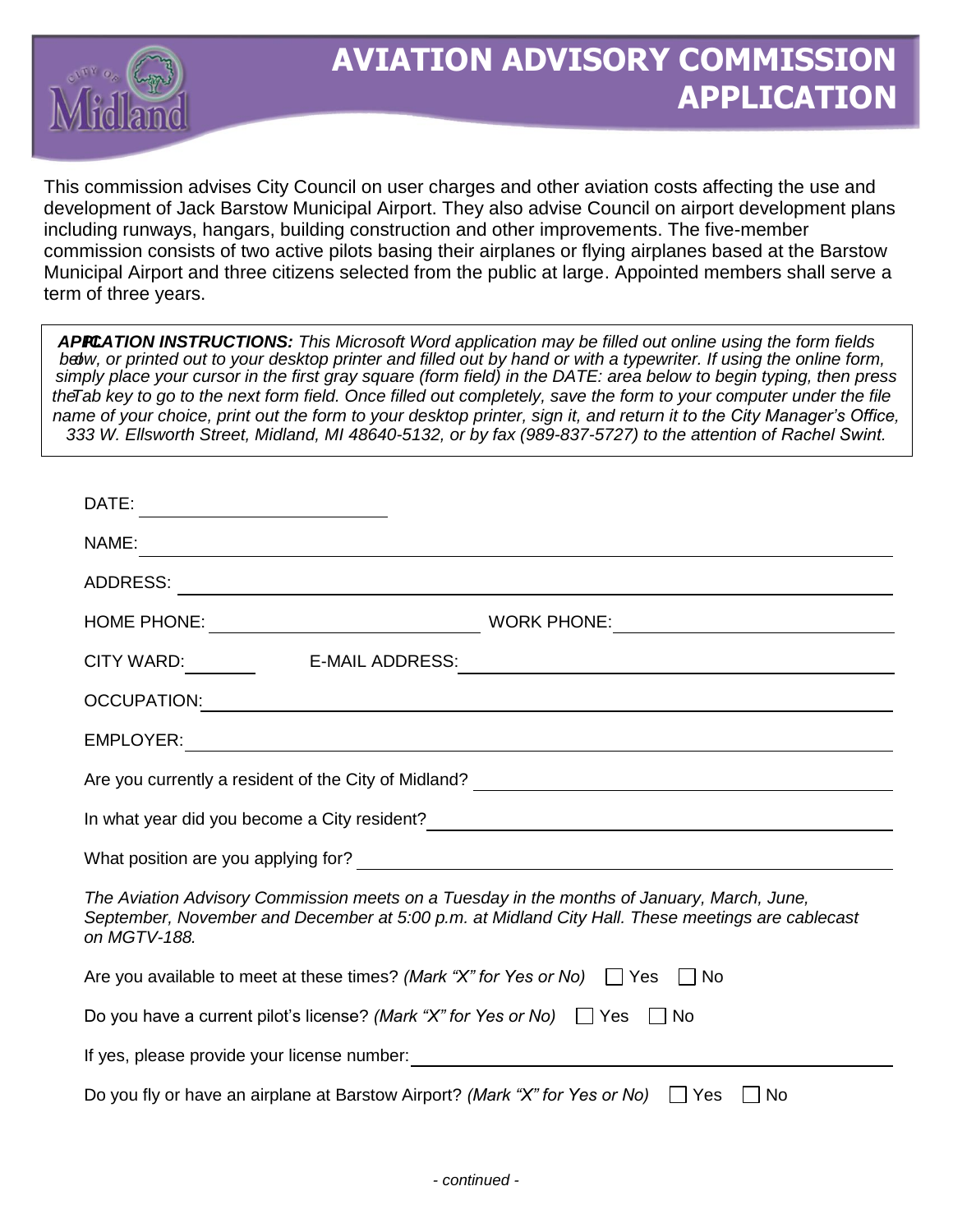

## **AVIATION ADVISORY COMMISSION APPLICATION**

This commission advises City Council on user charges and other aviation costs affecting the use and development of Jack Barstow Municipal Airport. They also advise Council on airport development plans including runways, hangars, building construction and other improvements. The five-member commission consists of two active pilots basing their airplanes or flying airplanes based at the Barstow Municipal Airport and three citizens selected from the public at large. Appointed members shall serve a term of three years.

APPCATION INSTRUCTIONS: This Microsoft Word application may be filled out online using the form fields belw, or printed out to your desktop printer and filled out by hand or with a typewriter. If using the online form, *simply place your cursor in the first gray square (form field) in the DATE: area below to begin typing, then press*  the Tab key to go to the next form field. Once filled out completely, save the form to your computer under the file *name of your choice, print out the form to your desktop printer, sign it, and return it to the City Manager's Office,*  333 W. Ellsworth Street, Midland, MI 48640-5132, or by fax (989-837-5727) to the attention of Rachel Swint.

| DATE:                                                                                                                                                                                                                                                    |                                                                                                                       |
|----------------------------------------------------------------------------------------------------------------------------------------------------------------------------------------------------------------------------------------------------------|-----------------------------------------------------------------------------------------------------------------------|
| NAME:                                                                                                                                                                                                                                                    |                                                                                                                       |
| ADDRESS:                                                                                                                                                                                                                                                 | ,我们也不会有什么。""我们的人,我们也不会有什么?""我们的人,我们也不会有什么?""我们的人,我们也不会有什么?""我们的人,我们也不会有什么?""我们的人                                      |
|                                                                                                                                                                                                                                                          |                                                                                                                       |
| <b>E-MAIL ADDRESS:</b><br>CITY WARD: THE MODEL TO THE STATE OF THE STATE OF THE STATE OF THE STATE OF THE STATE OF THE STATE OF THE STATE OF THE STATE OF THE STATE OF THE STATE OF THE STATE OF THE STATE OF THE STATE OF THE STATE OF THE STATE OF THE | <u> 1980 - Andrea Andrew Maria (h. 1980).</u>                                                                         |
| OCCUPATION:                                                                                                                                                                                                                                              | <u> 1989 - Johann Stoff, deutscher Stoff, der Stoff, der Stoff, der Stoff, der Stoff, der Stoff, der Stoff, der S</u> |
|                                                                                                                                                                                                                                                          |                                                                                                                       |
| Are you currently a resident of the City of Midland?<br><u> and a contract and a contract and a contract and a contract a</u> contract and a contract a contract a contract a                                                                            |                                                                                                                       |
|                                                                                                                                                                                                                                                          |                                                                                                                       |
|                                                                                                                                                                                                                                                          |                                                                                                                       |
| The Aviation Advisory Commission meets on a Tuesday in the months of January, March, June,<br>September, November and December at 5:00 p.m. at Midland City Hall. These meetings are cablecast<br>on MGTV-188.                                           |                                                                                                                       |
| Are you available to meet at these times? (Mark "X" for Yes or No) $\Box$ Yes<br>No.                                                                                                                                                                     |                                                                                                                       |
| Do you have a current pilot's license? (Mark "X" for Yes or No) $\Box$ Yes $\Box$ No                                                                                                                                                                     |                                                                                                                       |
|                                                                                                                                                                                                                                                          |                                                                                                                       |
| Do you fly or have an airplane at Barstow Airport? (Mark "X" for Yes or No)<br>  Yes<br>No                                                                                                                                                               |                                                                                                                       |